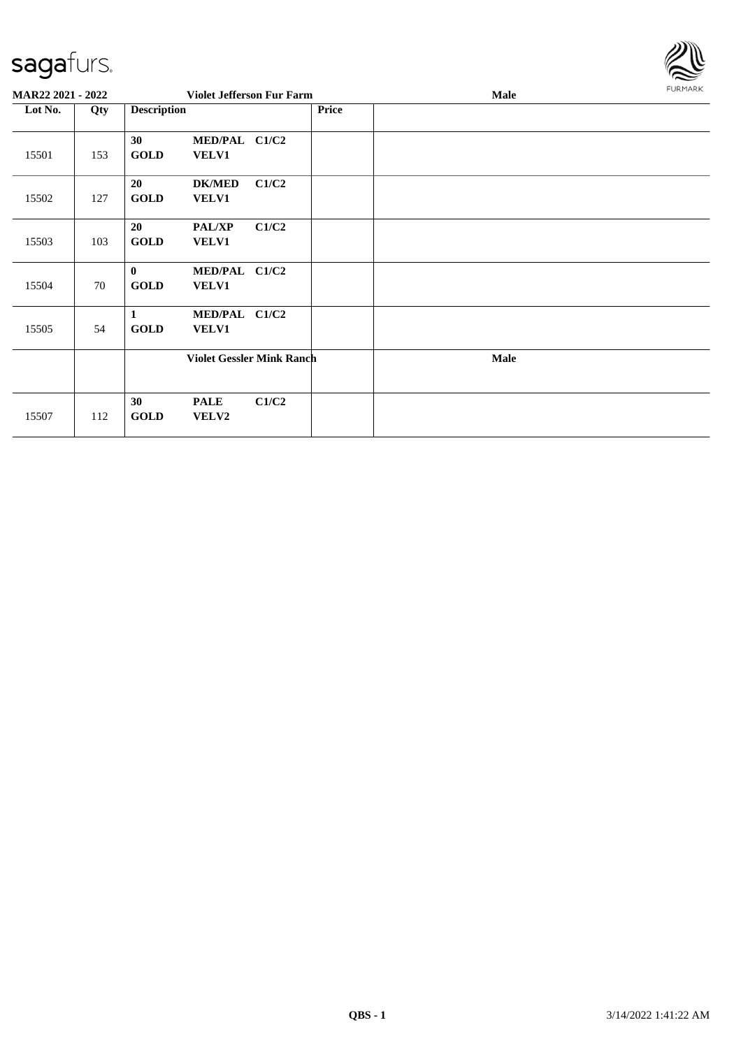

| MAR22 2021 - 2022 |     |                                | <b>Violet Jefferson Fur Farm</b> |       |       | Male | <b>FURMARK</b> |
|-------------------|-----|--------------------------------|----------------------------------|-------|-------|------|----------------|
| Lot No.           | Qty | <b>Description</b>             |                                  |       | Price |      |                |
| 15501             | 153 | 30 <sup>°</sup><br><b>GOLD</b> | MED/PAL C1/C2<br><b>VELV1</b>    |       |       |      |                |
| 15502             | 127 | 20<br><b>GOLD</b>              | <b>DK/MED</b><br>VELV1           | C1/C2 |       |      |                |
| 15503             | 103 | 20<br><b>GOLD</b>              | <b>PAL/XP</b><br>VELV1           | C1/C2 |       |      |                |
| 15504             | 70  | $\mathbf{0}$<br><b>GOLD</b>    | MED/PAL C1/C2<br>VELV1           |       |       |      |                |
| 15505             | 54  | 1<br><b>GOLD</b>               | MED/PAL C1/C2<br><b>VELV1</b>    |       |       |      |                |
|                   |     |                                | <b>Violet Gessler Mink Ranch</b> |       |       | Male |                |
| 15507             | 112 | 30<br><b>GOLD</b>              | <b>PALE</b><br>VELV2             | C1/C2 |       |      |                |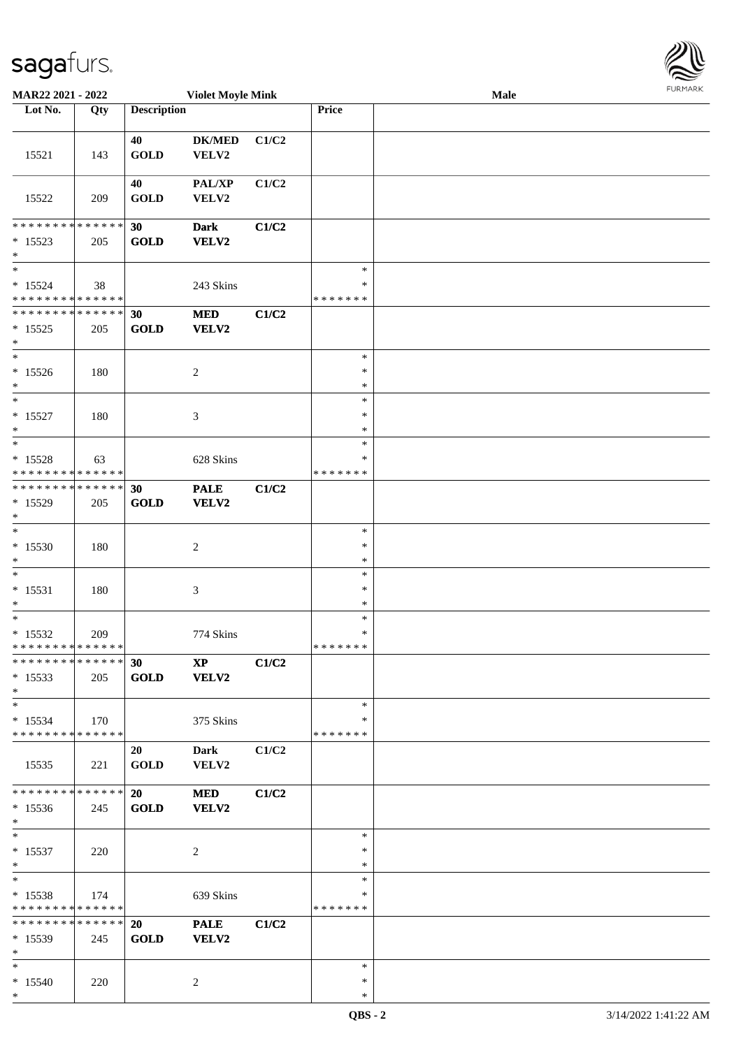\*

| <b>MAR22 2021 - 2022</b>                                                 |     |                    | <b>Violet Moyle Mink</b> |       |                  | Male |  |
|--------------------------------------------------------------------------|-----|--------------------|--------------------------|-------|------------------|------|--|
| Lot No.                                                                  | Qty | <b>Description</b> |                          |       | <b>Price</b>     |      |  |
|                                                                          |     |                    |                          |       |                  |      |  |
|                                                                          |     | 40                 | <b>DK/MED</b>            | C1/C2 |                  |      |  |
| 15521                                                                    | 143 | <b>GOLD</b>        | VELV2                    |       |                  |      |  |
|                                                                          |     |                    |                          |       |                  |      |  |
|                                                                          |     | 40                 | PAL/XP                   | C1/C2 |                  |      |  |
| 15522                                                                    | 209 | <b>GOLD</b>        | VELV2                    |       |                  |      |  |
| * * * * * * * * * * * * * *                                              |     |                    |                          |       |                  |      |  |
| $* 15523$                                                                | 205 | 30<br><b>GOLD</b>  | <b>Dark</b><br>VELV2     | C1/C2 |                  |      |  |
| $\ast$                                                                   |     |                    |                          |       |                  |      |  |
| $\ast$                                                                   |     |                    |                          |       | $\ast$           |      |  |
| $* 15524$                                                                | 38  |                    | 243 Skins                |       | $\ast$           |      |  |
| * * * * * * * * * * * * * *                                              |     |                    |                          |       | * * * * * * *    |      |  |
| * * * * * * * * * * * * * *                                              |     | 30                 | <b>MED</b>               | C1/C2 |                  |      |  |
| $* 15525$                                                                | 205 | <b>GOLD</b>        | VELV2                    |       |                  |      |  |
| *                                                                        |     |                    |                          |       |                  |      |  |
| $*$                                                                      |     |                    |                          |       | $\ast$           |      |  |
| $*15526$                                                                 | 180 |                    | $\overline{c}$           |       | $\ast$           |      |  |
| $*$<br>$\overline{\ast}$                                                 |     |                    |                          |       | $\ast$           |      |  |
| $* 15527$                                                                | 180 |                    |                          |       | $\ast$<br>$\ast$ |      |  |
| $\ast$                                                                   |     |                    | 3                        |       | $\ast$           |      |  |
| $*$                                                                      |     |                    |                          |       | $\ast$           |      |  |
| $* 15528$                                                                | 63  |                    | 628 Skins                |       | *                |      |  |
| * * * * * * * * * * * * * *                                              |     |                    |                          |       | * * * * * * *    |      |  |
| * * * * * * * * * * * * * * *                                            |     | 30                 | <b>PALE</b>              | C1/C2 |                  |      |  |
| * 15529                                                                  | 205 | <b>GOLD</b>        | VELV2                    |       |                  |      |  |
| $\ast$                                                                   |     |                    |                          |       |                  |      |  |
| $*$                                                                      |     |                    |                          |       | $\ast$           |      |  |
| $*15530$                                                                 | 180 |                    | $\overline{c}$           |       | $\ast$           |      |  |
| $\ast$                                                                   |     |                    |                          |       | $\ast$           |      |  |
| $\ast$                                                                   |     |                    |                          |       | $\ast$<br>$\ast$ |      |  |
| $* 15531$<br>*                                                           | 180 |                    | $\mathfrak{Z}$           |       | $\ast$           |      |  |
| $*$                                                                      |     |                    |                          |       | $\ast$           |      |  |
| $* 15532$                                                                | 209 |                    | 774 Skins                |       | $\ast$           |      |  |
| * * * * * * * * * * * * * * *                                            |     |                    |                          |       | * * * * * * *    |      |  |
| * * * * * * * * * * * * * * <mark>*</mark>                               |     | 30                 | <b>XP</b>                | C1/C2 |                  |      |  |
| $*15533$                                                                 | 205 | <b>GOLD</b>        | <b>VELV2</b>             |       |                  |      |  |
| $*$                                                                      |     |                    |                          |       |                  |      |  |
| $*$                                                                      |     |                    |                          |       | $\ast$           |      |  |
| $*15534$                                                                 | 170 |                    | 375 Skins                |       | ∗                |      |  |
| * * * * * * * * * * * * * * *                                            |     |                    |                          |       | * * * * * * *    |      |  |
|                                                                          |     | 20                 | Dark                     | C1/C2 |                  |      |  |
| 15535                                                                    | 221 | <b>GOLD</b>        | VELV2                    |       |                  |      |  |
| * * * * * * * * * * * * * * *                                            |     | 20                 | <b>MED</b>               | C1/C2 |                  |      |  |
| $*15536$                                                                 | 245 | <b>GOLD</b>        | VELV2                    |       |                  |      |  |
| $*$                                                                      |     |                    |                          |       |                  |      |  |
| $*$ $-$                                                                  |     |                    |                          |       | $\ast$           |      |  |
| $* 15537$                                                                | 220 |                    | 2                        |       | $\ast$           |      |  |
| $*$                                                                      |     |                    |                          |       | $\ast$           |      |  |
| $*$ $-$                                                                  |     |                    |                          |       | $\ast$           |      |  |
| $* 15538$                                                                | 174 |                    | 639 Skins                |       | ∗                |      |  |
| * * * * * * * * <mark>* * * * * *</mark><br>******** <mark>******</mark> |     |                    |                          |       | * * * * * * *    |      |  |
|                                                                          |     | 20<br><b>GOLD</b>  | <b>PALE</b>              | C1/C2 |                  |      |  |
| $*15539$<br>$*$                                                          | 245 |                    | <b>VELV2</b>             |       |                  |      |  |
| $*$                                                                      |     |                    |                          |       | $\ast$           |      |  |
| $* 15540$                                                                | 220 |                    | 2                        |       | $\ast$           |      |  |

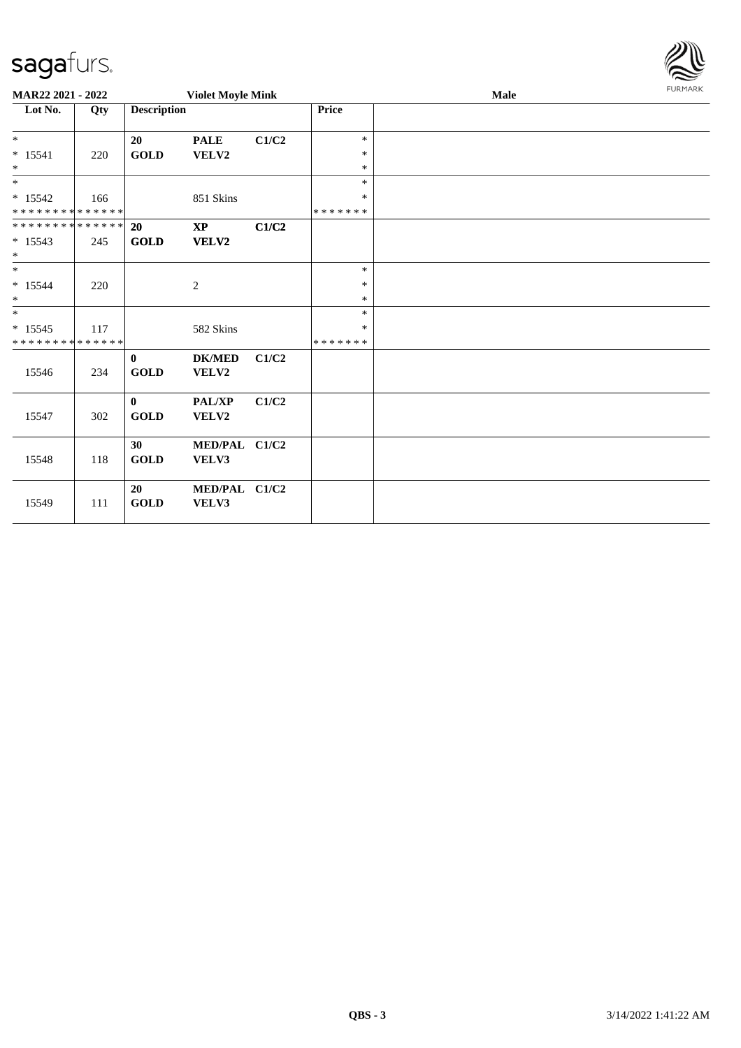| sagafurs.                                            |     |                             |                          |       |                        |      |                |
|------------------------------------------------------|-----|-----------------------------|--------------------------|-------|------------------------|------|----------------|
| MAR22 2021 - 2022                                    |     |                             | <b>Violet Moyle Mink</b> |       |                        | Male | <b>FURMARK</b> |
| Lot No.                                              | Qty | <b>Description</b>          |                          |       | <b>Price</b>           |      |                |
| $\ast$<br>$* 15541$<br>$\ast$                        | 220 | 20<br><b>GOLD</b>           | <b>PALE</b><br>VELV2     | C1/C2 | $\ast$<br>$\ast$<br>∗  |      |                |
| $\ast$<br>$* 15542$<br>* * * * * * * * * * * * * *   | 166 |                             | 851 Skins                |       | $\ast$<br>∗<br>******* |      |                |
| * * * * * * * * * * * * * * *<br>$* 15543$<br>$\ast$ | 245 | <b>20</b><br><b>GOLD</b>    | $\bold{XP}$<br>VELV2     | C1/C2 |                        |      |                |
| $\ast$<br>$* 15544$<br>$\ast$                        | 220 |                             | $\overline{c}$           |       | $\ast$<br>∗<br>$\ast$  |      |                |
| $\ast$<br>$* 15545$<br>* * * * * * * * * * * * * *   | 117 |                             | 582 Skins                |       | $\ast$<br>*<br>******* |      |                |
| 15546                                                | 234 | $\mathbf{0}$<br><b>GOLD</b> | <b>DK/MED</b><br>VELV2   | C1/C2 |                        |      |                |
| 15547                                                | 302 | $\mathbf{0}$<br><b>GOLD</b> | PAL/XP<br>VELV2          | C1/C2 |                        |      |                |
| 15548                                                | 118 | 30<br><b>GOLD</b>           | MED/PAL C1/C2<br>VELV3   |       |                        |      |                |
| 15549                                                | 111 | 20<br><b>GOLD</b>           | MED/PAL C1/C2<br>VELV3   |       |                        |      |                |

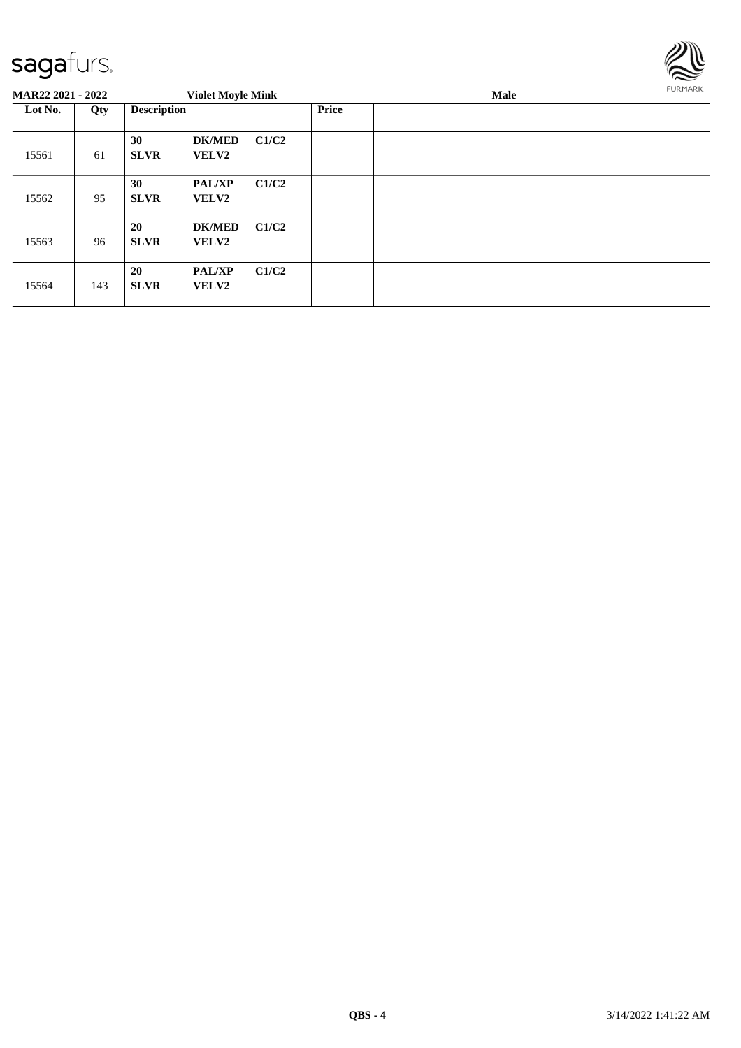

| MAR22 2021 - 2022 |     |                          | <b>Violet Moyle Mink</b>      |       |       | <b>Male</b> | FURMARK |  |
|-------------------|-----|--------------------------|-------------------------------|-------|-------|-------------|---------|--|
| Lot No.           | Qty | <b>Description</b>       |                               |       | Price |             |         |  |
| 15561             | 61  | 30<br><b>SLVR</b>        | <b>DK/MED</b><br><b>VELV2</b> | C1/C2 |       |             |         |  |
| 15562             | 95  | 30<br><b>SLVR</b>        | <b>PAL/XP</b><br><b>VELV2</b> | C1/C2 |       |             |         |  |
| 15563             | 96  | 20<br><b>SLVR</b>        | <b>DK/MED</b><br><b>VELV2</b> | C1/C2 |       |             |         |  |
| 15564             | 143 | <b>20</b><br><b>SLVR</b> | <b>PAL/XP</b><br><b>VELV2</b> | C1/C2 |       |             |         |  |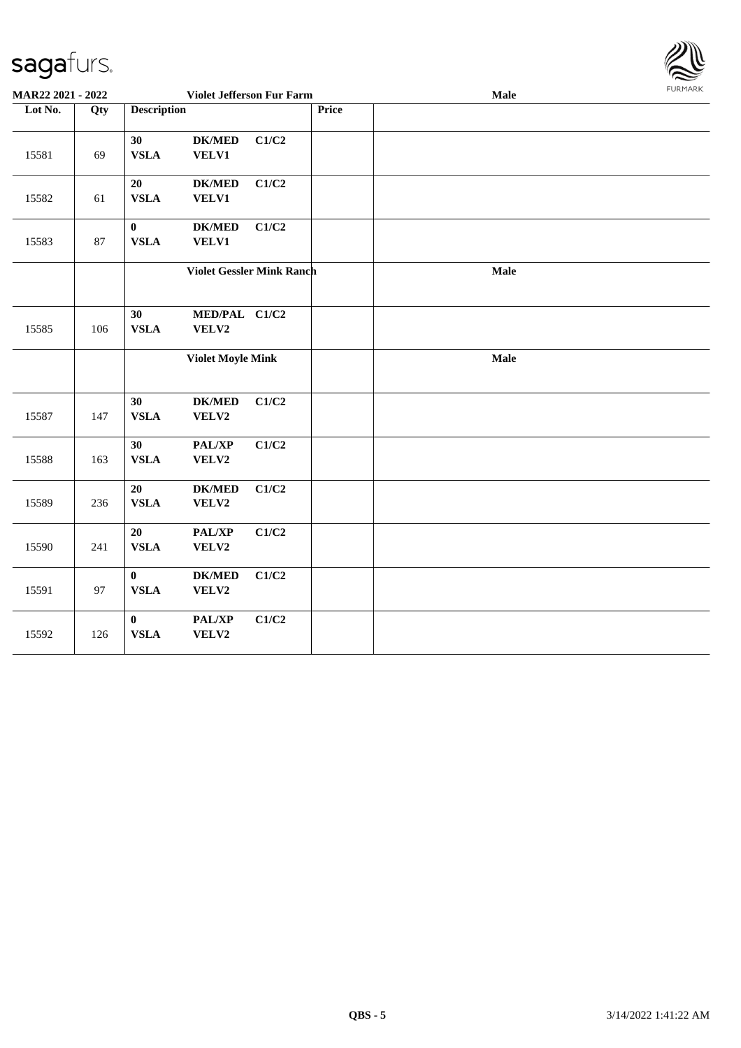

| MAR22 2021 - 2022 |        |                              | Violet Jefferson Fur Farm        |       |  | Male | <b>FURMARK</b> |
|-------------------|--------|------------------------------|----------------------------------|-------|--|------|----------------|
| Lot No.           | Qty    | <b>Description</b>           | Price                            |       |  |      |                |
| 15581             | 69     | 30<br><b>VSLA</b>            | <b>DK/MED</b><br><b>VELV1</b>    | C1/C2 |  |      |                |
| 15582             | 61     | $20\,$<br><b>VSLA</b>        | $DK/MED$<br>VELV1                | C1/C2 |  |      |                |
| 15583             | $87\,$ | $\bf{0}$<br><b>VSLA</b>      | <b>DK/MED</b><br>VELV1           | C1/C2 |  |      |                |
|                   |        |                              | <b>Violet Gessler Mink Ranch</b> |       |  | Male |                |
| 15585             | 106    | 30<br><b>VSLA</b>            | MED/PAL C1/C2<br>VELV2           |       |  |      |                |
|                   |        |                              | <b>Violet Moyle Mink</b>         |       |  | Male |                |
| 15587             | 147    | 30<br><b>VSLA</b>            | <b>DK/MED</b><br>VELV2           | C1/C2 |  |      |                |
| 15588             | 163    | 30<br>${\bf VSLA}$           | PAL/XP<br>VELV2                  | C1/C2 |  |      |                |
| 15589             | 236    | 20<br><b>VSLA</b>            | <b>DK/MED</b><br>VELV2           | C1/C2 |  |      |                |
| 15590             | 241    | 20<br><b>VSLA</b>            | PAL/XP<br>VELV2                  | C1/C2 |  |      |                |
| 15591             | 97     | $\mathbf{0}$<br>${\bf VSLA}$ | <b>DK/MED</b><br>VELV2           | C1/C2 |  |      |                |
| 15592             | 126    | $\bf{0}$<br><b>VSLA</b>      | PAL/XP<br>VELV2                  | C1/C2 |  |      |                |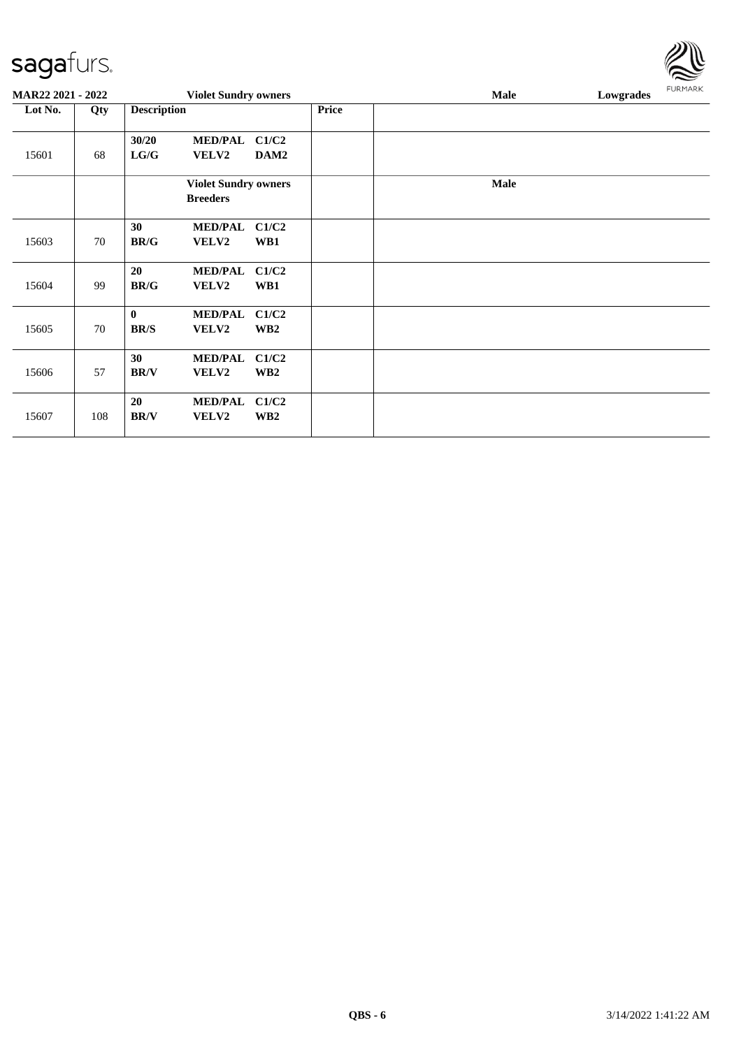| <b>MAR22 2021 - 2022</b> |     |                                      | <b>Violet Sundry owners</b>                    |                          |              | <b>Male</b> | Lowgrades | <b>FURMARK</b> |
|--------------------------|-----|--------------------------------------|------------------------------------------------|--------------------------|--------------|-------------|-----------|----------------|
| Lot No.                  | Qty | <b>Description</b>                   |                                                |                          | <b>Price</b> |             |           |                |
| 15601                    | 68  | 30/20<br>${\bf L} {\bf G} / {\bf G}$ | <b>MED/PAL</b><br>VELV2                        | C1/C2<br>DAM2            |              |             |           |                |
|                          |     |                                      | <b>Violet Sundry owners</b><br><b>Breeders</b> |                          |              | <b>Male</b> |           |                |
| 15603                    | 70  | 30<br>BR/G                           | <b>MED/PAL</b><br><b>VELV2</b>                 | C1/C2<br>WB1             |              |             |           |                |
| 15604                    | 99  | 20<br><b>BR/G</b>                    | <b>MED/PAL</b><br><b>VELV2</b>                 | C1/C2<br>WB1             |              |             |           |                |
| 15605                    | 70  | $\bf{0}$<br><b>BR/S</b>              | <b>MED/PAL</b><br>VELV2                        | C1/C2<br>WB <sub>2</sub> |              |             |           |                |
| 15606                    | 57  | 30<br><b>BR/V</b>                    | <b>MED/PAL</b><br>VELV2                        | C1/C2<br>WB <sub>2</sub> |              |             |           |                |
| 15607                    | 108 | 20<br><b>BR/V</b>                    | <b>MED/PAL</b><br>VELV2                        | C1/C2<br>WB <sub>2</sub> |              |             |           |                |

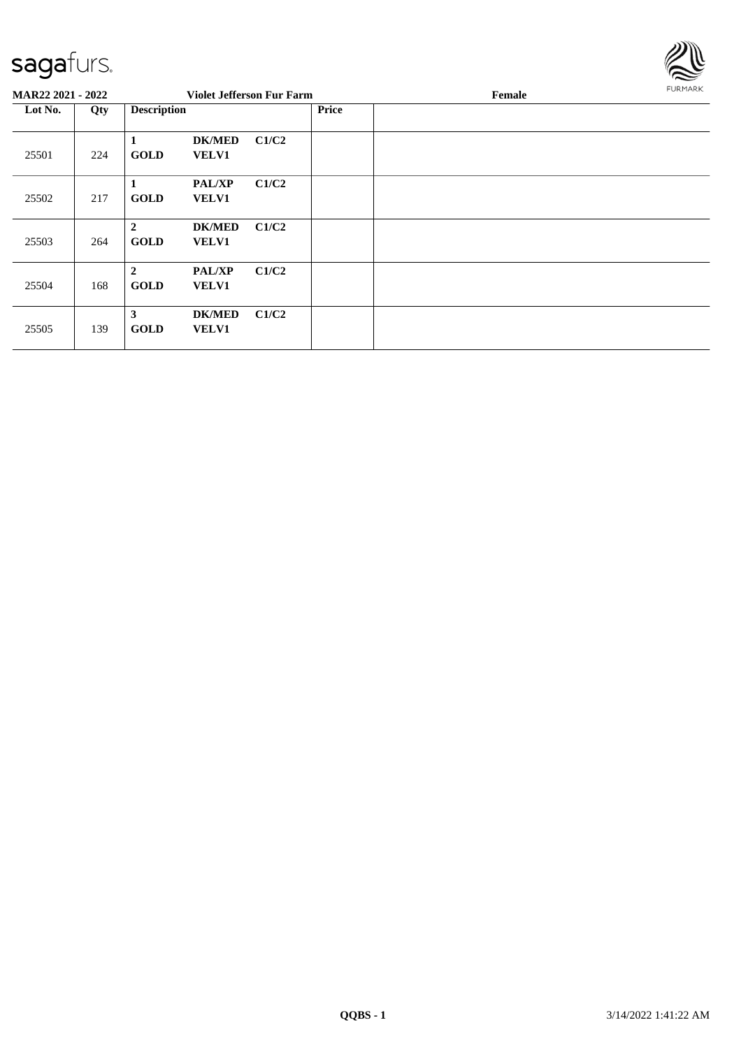

| <b>MAR22 2021 - 2022</b> |     |                               |                               | <b>Violet Jefferson Fur Farm</b> |              | Female | FURMARK |
|--------------------------|-----|-------------------------------|-------------------------------|----------------------------------|--------------|--------|---------|
| Lot No.                  | Qty | <b>Description</b>            |                               |                                  | <b>Price</b> |        |         |
| 25501                    | 224 | л<br><b>GOLD</b>              | <b>DK/MED</b><br><b>VELV1</b> | C1/C2                            |              |        |         |
| 25502                    | 217 | 1<br><b>GOLD</b>              | <b>PAL/XP</b><br><b>VELV1</b> | C1/C2                            |              |        |         |
| 25503                    | 264 | $\overline{2}$<br><b>GOLD</b> | <b>DK/MED</b><br><b>VELV1</b> | C1/C2                            |              |        |         |
| 25504                    | 168 | $\overline{2}$<br><b>GOLD</b> | <b>PAL/XP</b><br><b>VELV1</b> | C1/C2                            |              |        |         |
| 25505                    | 139 | 3<br><b>GOLD</b>              | <b>DK/MED</b><br><b>VELV1</b> | C1/C2                            |              |        |         |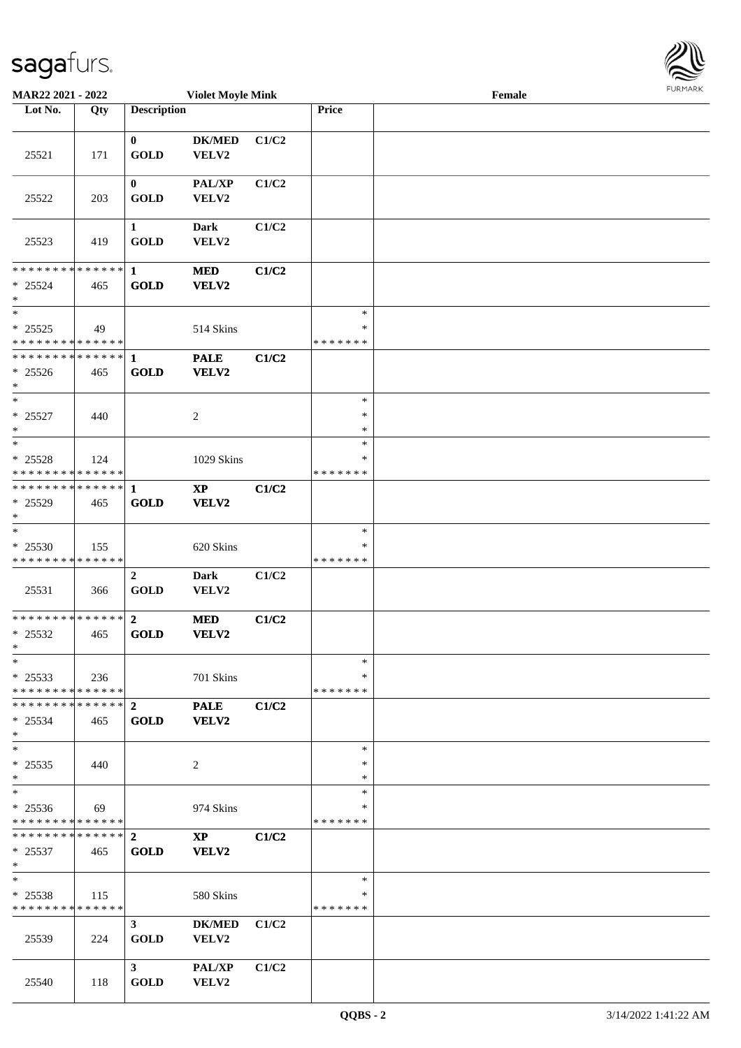**Lot No. Qty Description** 

| 25521                                                | 171  | $\mathbf{0}$<br><b>GOLD</b>   | <b>DK/MED</b><br>VELV2                 | C1/C2 |                                   |  |
|------------------------------------------------------|------|-------------------------------|----------------------------------------|-------|-----------------------------------|--|
| 25522                                                | 203  | $\mathbf{0}$<br><b>GOLD</b>   | <b>PAL/XP</b><br>VELV2                 | C1/C2 |                                   |  |
| 25523                                                | 419  | 1<br><b>GOLD</b>              | <b>Dark</b><br>VELV2                   | C1/C2 |                                   |  |
| ******** <mark>******</mark><br>$* 25524$<br>$\ast$  | 465  | $\mathbf{1}$<br><b>GOLD</b>   | <b>MED</b><br>VELV2                    | C1/C2 |                                   |  |
| $*$<br>$* 25525$<br>* * * * * * * * * * * * * *      | - 49 |                               | 514 Skins                              |       | $\ast$<br>$\ast$<br>* * * * * * * |  |
| **************<br>$* 25526$<br>$*$                   | 465  | $\mathbf{1}$<br><b>GOLD</b>   | <b>PALE</b><br>VELV2                   | C1/C2 |                                   |  |
| $*$<br>$* 25527$<br>$*$                              | 440  |                               | 2                                      |       | $\ast$<br>$\ast$<br>$\ast$        |  |
| $*$<br>$* 25528$<br>******** <mark>******</mark>     | 124  |                               | 1029 Skins                             |       | $\ast$<br>$\ast$<br>* * * * * * * |  |
| **************<br>$* 25529$<br>$*$                   | 465  | $\mathbf{1}$<br><b>GOLD</b>   | $\mathbf{X}\mathbf{P}$<br>VELV2        | C1/C2 |                                   |  |
| $*$<br>$* 25530$<br>* * * * * * * * * * * * * *      | 155  |                               | 620 Skins                              |       | $\ast$<br>∗<br>* * * * * * *      |  |
| 25531                                                | 366  | $\mathbf{2}$<br><b>GOLD</b>   | Dark<br><b>VELV2</b>                   | C1/C2 |                                   |  |
| **************<br>$*$ 25532<br>$*$                   | 465  | $2^{\circ}$<br><b>GOLD</b>    | <b>MED</b><br><b>VELV2</b>             | C1/C2 |                                   |  |
| $\ast$<br>$* 25533$<br>* * * * * * * * * * * * * * * | 236  |                               | 701 Skins                              |       | $\ast$<br>$*$<br>* * * * * * *    |  |
| **************<br>$* 25534$<br>$\ast$                | 465  | $\overline{2}$<br><b>GOLD</b> | <b>PALE</b><br><b>VELV2</b>            | C1/C2 |                                   |  |
| $\ast$<br>$* 25535$<br>$*$                           | 440  |                               | 2                                      |       | $\ast$<br>$\ast$<br>$\ast$        |  |
| $\ast$<br>$* 25536$<br>* * * * * * * * * * * * * *   | 69   |                               | 974 Skins                              |       | $\ast$<br>∗<br>* * * * * * *      |  |
| * * * * * * * * * * * * * * *<br>$* 25537$<br>$\ast$ | 465  | $\overline{2}$<br><b>GOLD</b> | $\mathbf{X}\mathbf{P}$<br><b>VELV2</b> | C1/C2 |                                   |  |
| $\ast$<br>$* 25538$<br>* * * * * * * * * * * * * *   | 115  |                               | 580 Skins                              |       | $\ast$<br>∗<br>* * * * * * *      |  |
| 25539                                                | 224  | 3 <sup>7</sup><br><b>GOLD</b> | <b>DK/MED</b><br>VELV2                 | C1/C2 |                                   |  |
| 25540                                                | 118  | 3 <sup>7</sup><br><b>GOLD</b> | PAL/XP<br>VELV2                        | C1/C2 |                                   |  |

Τ

**MAR22 2021 - 2022 Violet Moyle Mink Female**<br> **Female Female Price Female** 

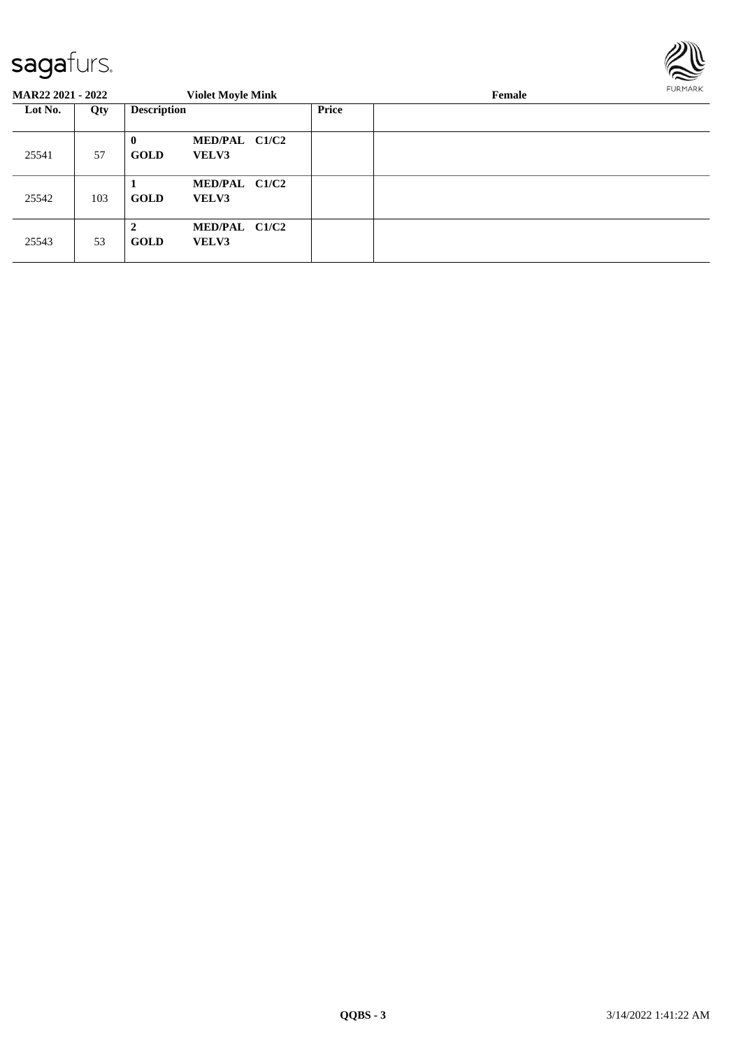

| <b>MAR22 2021 - 2022</b> |     |                             | <b>Violet Moyle Mink</b>      |              | Female | FURMARK |
|--------------------------|-----|-----------------------------|-------------------------------|--------------|--------|---------|
| Lot No.                  | Qty | <b>Description</b>          |                               | <b>Price</b> |        |         |
| 25541                    | 57  | $\mathbf{0}$<br><b>GOLD</b> | MED/PAL C1/C2<br>VELV3        |              |        |         |
| 25542                    | 103 | <b>GOLD</b>                 | MED/PAL C1/C2<br>VELV3        |              |        |         |
| 25543                    | 53  | $\mathbf{2}$<br><b>GOLD</b> | MED/PAL C1/C2<br><b>VELV3</b> |              |        |         |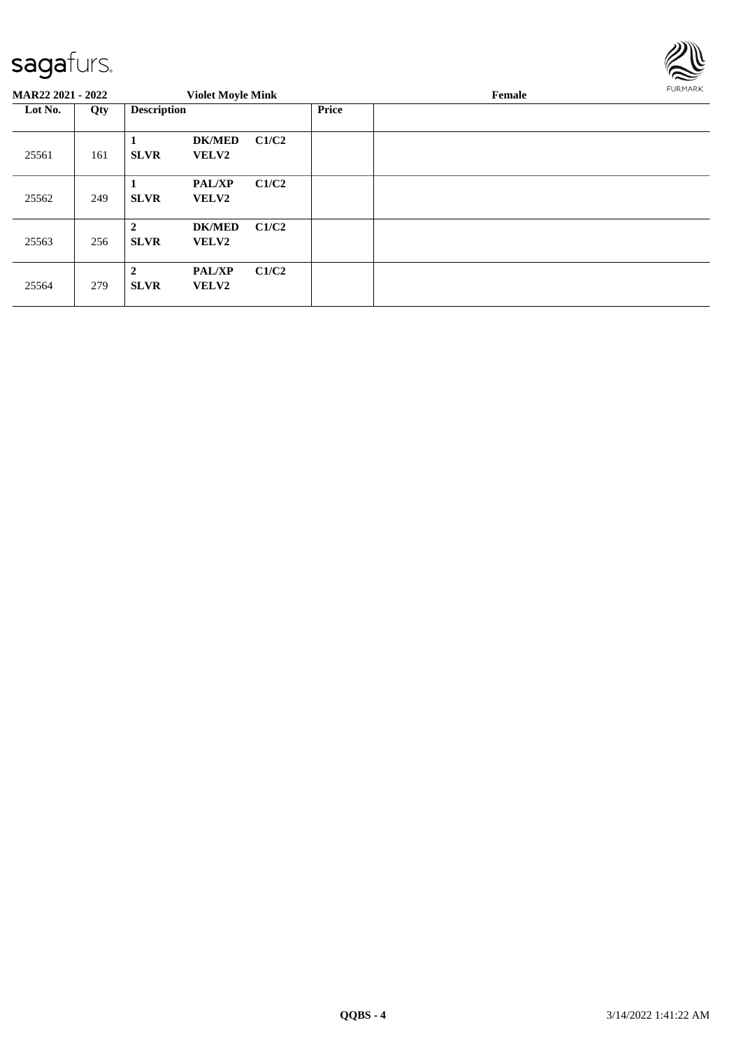

| MAR22 2021 - 2022 |     |                               | <b>Violet Moyle Mink</b>      |       |              | Female | FURMARK |
|-------------------|-----|-------------------------------|-------------------------------|-------|--------------|--------|---------|
| Lot No.           | Qty | <b>Description</b>            |                               |       | <b>Price</b> |        |         |
| 25561             | 161 | 1<br><b>SLVR</b>              | <b>DK/MED</b><br><b>VELV2</b> | C1/C2 |              |        |         |
| 25562             | 249 | <b>SLVR</b>                   | <b>PAL/XP</b><br><b>VELV2</b> | C1/C2 |              |        |         |
| 25563             | 256 | $\overline{2}$<br><b>SLVR</b> | <b>DK/MED</b><br><b>VELV2</b> | C1/C2 |              |        |         |
| 25564             | 279 | $\overline{2}$<br><b>SLVR</b> | <b>PAL/XP</b><br><b>VELV2</b> | C1/C2 |              |        |         |